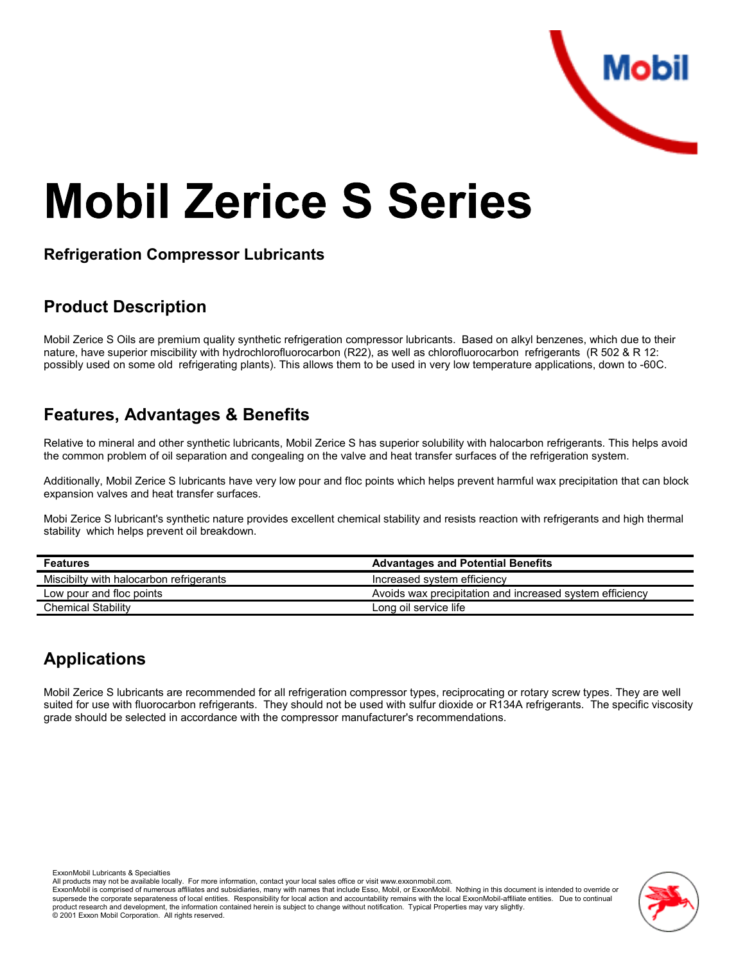

# **Mobil Zerice S Series**

**Refrigeration Compressor Lubricants**

## **Product Description**

Mobil Zerice S Oils are premium quality synthetic refrigeration compressor lubricants. Based on alkyl benzenes, which due to their nature, have superior miscibility with hydrochlorofluorocarbon (R22), as well as chlorofluorocarbon refrigerants (R 502 & R 12: possibly used on some old refrigerating plants). This allows them to be used in very low temperature applications, down to -60C.

## **Features, Advantages & Benefits**

Relative to mineral and other synthetic lubricants, Mobil Zerice S has superior solubility with halocarbon refrigerants. This helps avoid the common problem of oil separation and congealing on the valve and heat transfer surfaces of the refrigeration system.

Additionally, Mobil Zerice S lubricants have very low pour and floc points which helps prevent harmful wax precipitation that can block expansion valves and heat transfer surfaces.

Mobi Zerice S lubricant's synthetic nature provides excellent chemical stability and resists reaction with refrigerants and high thermal stability which helps prevent oil breakdown.

| <b>Features</b>                         | <b>Advantages and Potential Benefits</b>                 |
|-----------------------------------------|----------------------------------------------------------|
| Miscibilty with halocarbon refrigerants | Increased system efficiency                              |
| Low pour and floc points                | Avoids wax precipitation and increased system efficiency |
| <b>Chemical Stability</b>               | Long oil service life                                    |

## **Applications**

Mobil Zerice S lubricants are recommended for all refrigeration compressor types, reciprocating or rotary screw types. They are well suited for use with fluorocarbon refrigerants. They should not be used with sulfur dioxide or R134A refrigerants. The specific viscosity grade should be selected in accordance with the compressor manufacturer's recommendations.

All products may not be available locally. For more information, contact your local sales office or visit www.exxonmobil.com.

ExxonMobil is comprised of numerous affiliates and subsidiaries, many with names that include Esso, Mobil, or ExxonMobil. Nothing in this document is intended to override or supersede the corporate separateness of local entities. Responsibility for local action and accountability remains with the local ExxonMobil-affiliate entities. Due to continual product research and development, the information contained herein is subject to change without notification. Typical Properties may vary slightly. © 2001 Exxon Mobil Corporation. All rights reserved.